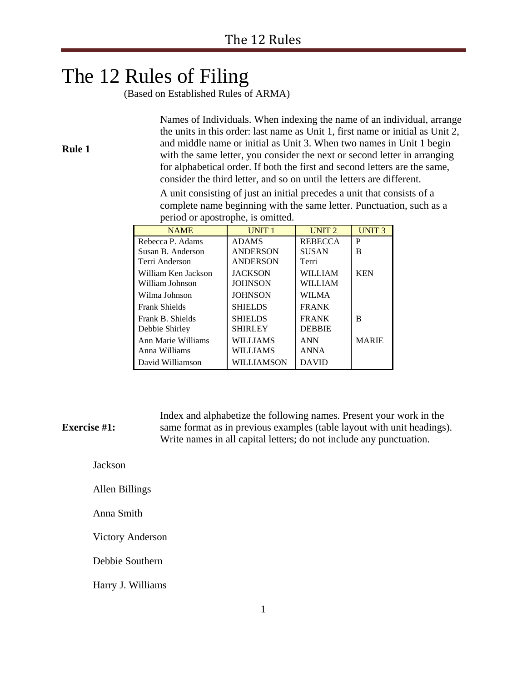# The 12 Rules of Filing

**Rule 1**

(Based on Established Rules of ARMA)

Names of Individuals. When indexing the name of an individual, arrange the units in this order: last name as Unit 1, first name or initial as Unit 2, and middle name or initial as Unit 3. When two names in Unit 1 begin with the same letter, you consider the next or second letter in arranging for alphabetical order. If both the first and second letters are the same, consider the third letter, and so on until the letters are different.

A unit consisting of just an initial precedes a unit that consists of a complete name beginning with the same letter. Punctuation, such as a period or apostrophe, is omitted.

| <b>NAME</b>         | UNIT <sub>1</sub> | UNIT <sub>2</sub> | <b>UNIT3</b> |
|---------------------|-------------------|-------------------|--------------|
| Rebecca P. Adams    | <b>ADAMS</b>      | <b>REBECCA</b>    | P            |
| Susan B. Anderson   | <b>ANDERSON</b>   | <b>SUSAN</b>      | в            |
| Terri Anderson      | <b>ANDERSON</b>   | Terri             |              |
| William Ken Jackson | <b>JACKSON</b>    | WILLIAM           | <b>KEN</b>   |
| William Johnson     | <b>JOHNSON</b>    | WILLIAM           |              |
| Wilma Johnson       | <b>JOHNSON</b>    | WILMA             |              |
| Frank Shields       | <b>SHIELDS</b>    | <b>FRANK</b>      |              |
| Frank B. Shields    | <b>SHIELDS</b>    | <b>FRANK</b>      | в            |
| Debbie Shirley      | <b>SHIRLEY</b>    | <b>DEBBIE</b>     |              |
| Ann Marie Williams  | WILLIAMS          | <b>ANN</b>        | <b>MARIE</b> |
| Anna Williams       | <b>WILLIAMS</b>   | <b>ANNA</b>       |              |
| David Williamson    | WILLIAMSON        | <b>DAVID</b>      |              |

**Exercise #1:** Index and alphabetize the following names. Present your work in the same format as in previous examples (table layout with unit headings). Write names in all capital letters; do not include any punctuation.

Jackson

Allen Billings

Anna Smith

Victory Anderson

Debbie Southern

Harry J. Williams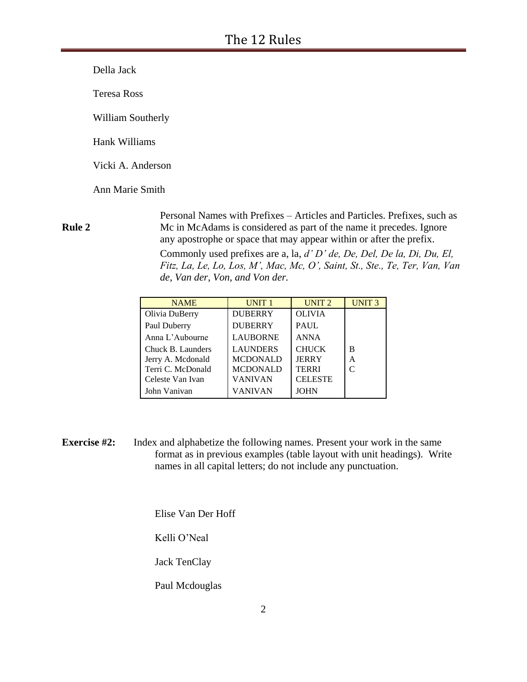Della Jack

Teresa Ross

William Southerly

Hank Williams

Vicki A. Anderson

Ann Marie Smith

### **Rule 2**

Personal Names with Prefixes – Articles and Particles. Prefixes, such as Mc in McAdams is considered as part of the name it precedes. Ignore any apostrophe or space that may appear within or after the prefix. Commonly used prefixes are a, la, *d' D' de, De, Del, De la, Di, Du, El, Fitz, La, Le, Lo, Los, M', Mac, Mc, O', Saint, St., Ste., Te, Ter, Van, Van de, Van der, Von, and Von der.* 

| <b>NAME</b>       | UNIT <sub>1</sub> | UNIT <sub>2</sub> | UNIT <sub>3</sub> |
|-------------------|-------------------|-------------------|-------------------|
| Olivia DuBerry    | <b>DUBERRY</b>    | <b>OLIVIA</b>     |                   |
| Paul Duberry      | <b>DUBERRY</b>    | <b>PAUL</b>       |                   |
| Anna L'Aubourne   | <b>LAUBORNE</b>   | <b>ANNA</b>       |                   |
| Chuck B. Launders | <b>LAUNDERS</b>   | <b>CHUCK</b>      | B                 |
| Jerry A. Mcdonald | <b>MCDONALD</b>   | <b>JERRY</b>      | Α                 |
| Terri C. McDonald | <b>MCDONALD</b>   | <b>TERRI</b>      | C                 |
| Celeste Van Ivan  | VANIVAN           | <b>CELESTE</b>    |                   |
| John Vanivan      | VANIVAN           | JOHN              |                   |

**Exercise #2:** Index and alphabetize the following names. Present your work in the same format as in previous examples (table layout with unit headings). Write names in all capital letters; do not include any punctuation.

Elise Van Der Hoff

Kelli O'Neal

Jack TenClay

Paul Mcdouglas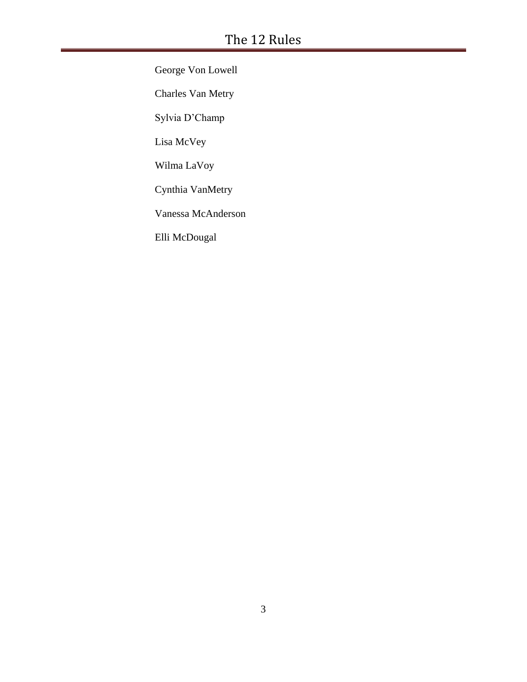George Von Lowell Charles Van Metry Sylvia D'Champ Lisa McVey Wilma LaVoy Cynthia VanMetry Vanessa McAnderson Elli McDougal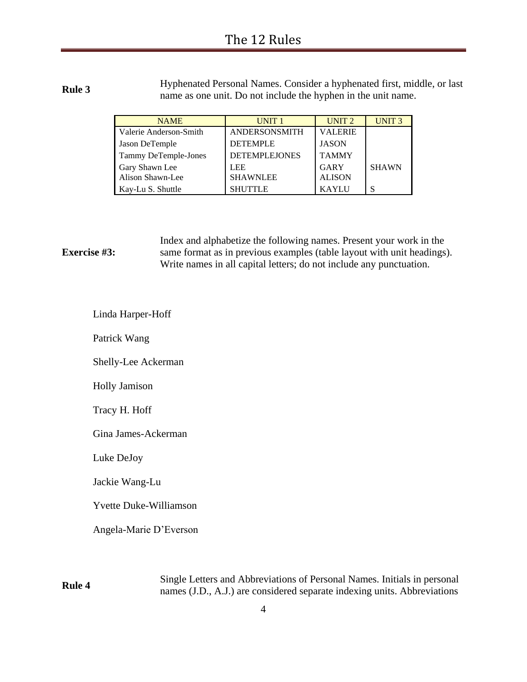**Rule 3** Hyphenated Personal Names. Consider a hyphenated first, middle, or last name as one unit. Do not include the hyphen in the unit name.

| <b>NAME</b>                        | UNIT <sub>1</sub>             | UNIT <sub>2</sub>            | UNIT <sub>3</sub> |
|------------------------------------|-------------------------------|------------------------------|-------------------|
| Valerie Anderson-Smith             | ANDERSONSMITH                 | <b>VALERIE</b>               |                   |
| Jason DeTemple                     | <b>DETEMPLE</b>               | <b>JASON</b>                 |                   |
| Tammy DeTemple-Jones               | <b>DETEMPLEJONES</b>          | <b>TAMMY</b>                 |                   |
| Gary Shawn Lee<br>Alison Shawn-Lee | <b>LEE</b><br><b>SHAWNLEE</b> | <b>GARY</b><br><b>ALISON</b> | <b>SHAWN</b>      |
| Kay-Lu S. Shuttle                  | <b>SHUTTLE</b>                | <b>KAYLU</b>                 |                   |

**Exercise #3:** Index and alphabetize the following names. Present your work in the same format as in previous examples (table layout with unit headings). Write names in all capital letters; do not include any punctuation.

Linda Harper-Hoff

Patrick Wang

Shelly-Lee Ackerman

Holly Jamison

Tracy H. Hoff

Gina James-Ackerman

Luke DeJoy

Jackie Wang-Lu

Yvette Duke-Williamson

Angela-Marie D'Everson

**Rule 4** Single Letters and Abbreviations of Personal Names. Initials in personal names (J.D., A.J.) are considered separate indexing units. Abbreviations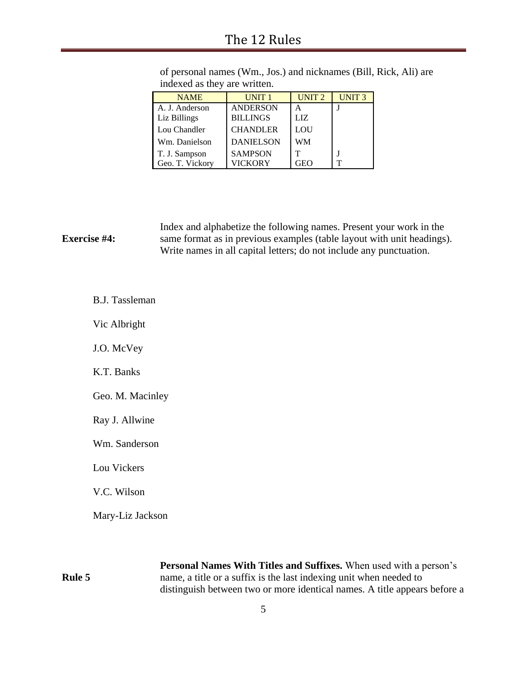# The 12 Rules

| <b>NAME</b>     | <b>UNIT1</b>     | UNIT <sub>2</sub> | UNIT <sub>3</sub> |
|-----------------|------------------|-------------------|-------------------|
| A. J. Anderson  | <b>ANDERSON</b>  | А                 |                   |
| Liz Billings    | <b>BILLINGS</b>  | LIZ.              |                   |
| Lou Chandler    | <b>CHANDLER</b>  | LOU               |                   |
| Wm. Danielson   | <b>DANIELSON</b> | WM                |                   |
| T. J. Sampson   | <b>SAMPSON</b>   | т                 |                   |
| Geo. T. Vickory | VICKORY          | <b>FEO</b>        | ᡣ                 |

of personal names (Wm., Jos.) and nicknames (Bill, Rick, Ali) are indexed as they are written.

|                     | Index and alphabetize the following names. Present your work in the    |
|---------------------|------------------------------------------------------------------------|
| <b>Exercise #4:</b> | same format as in previous examples (table layout with unit headings). |
|                     | Write names in all capital letters; do not include any punctuation.    |

B.J. Tassleman

Vic Albright

J.O. McVey

K.T. Banks

Geo. M. Macinley

Ray J. Allwine

Wm. Sanderson

Lou Vickers

V.C. Wilson

Mary-Liz Jackson

**Rule 5**

**Personal Names With Titles and Suffixes.** When used with a person's name, a title or a suffix is the last indexing unit when needed to distinguish between two or more identical names. A title appears before a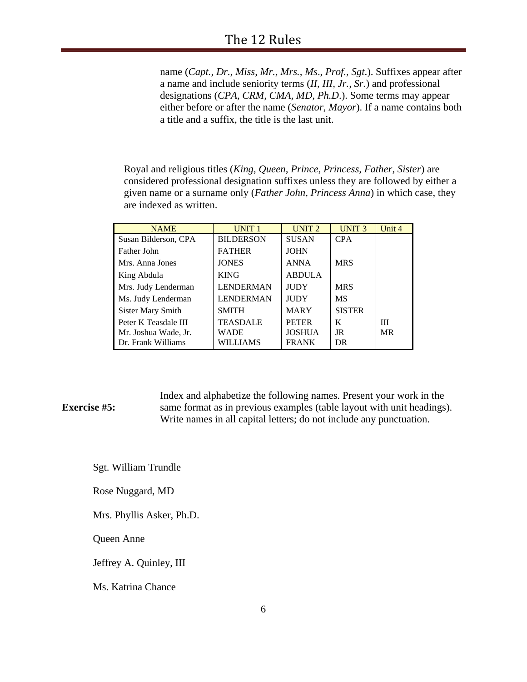name (*Capt., Dr., Miss, Mr., Mrs., Ms*., *Prof., Sgt*.). Suffixes appear after a name and include seniority terms (*II, III, Jr., Sr.*) and professional designations (*CPA, CRM, CMA, MD, Ph.D*.). Some terms may appear either before or after the name (*Senator, Mayor*). If a name contains both a title and a suffix, the title is the last unit.

Royal and religious titles (*King, Queen, Prince, Princess, Father, Sister*) are considered professional designation suffixes unless they are followed by either a given name or a surname only (*Father John, Princess Anna*) in which case, they are indexed as written.

| <b>NAME</b>          | <b>UNIT1</b>     | UNIT <sub>2</sub> | <b>UNIT3</b>  | Unit 4    |
|----------------------|------------------|-------------------|---------------|-----------|
| Susan Bilderson, CPA | <b>BILDERSON</b> | <b>SUSAN</b>      | <b>CPA</b>    |           |
| Father John          | <b>FATHER</b>    | <b>JOHN</b>       |               |           |
| Mrs. Anna Jones      | <b>JONES</b>     | <b>ANNA</b>       | <b>MRS</b>    |           |
| King Abdula          | <b>KING</b>      | <b>ABDULA</b>     |               |           |
| Mrs. Judy Lenderman  | <b>LENDERMAN</b> | <b>JUDY</b>       | <b>MRS</b>    |           |
| Ms. Judy Lenderman   | <b>LENDERMAN</b> | <b>JUDY</b>       | <b>MS</b>     |           |
| Sister Mary Smith    | <b>SMITH</b>     | <b>MARY</b>       | <b>SISTER</b> |           |
| Peter K Teasdale III | <b>TEASDALE</b>  | <b>PETER</b>      | K             | Ш         |
| Mr. Joshua Wade, Jr. | WADE             | <b>JOSHUA</b>     | JR            | <b>MR</b> |
| Dr. Frank Williams   | WILLIAMS         | <b>FRANK</b>      | DR            |           |

### **Exercise #5:** Index and alphabetize the following names. Present your work in the same format as in previous examples (table layout with unit headings). Write names in all capital letters; do not include any punctuation.

Sgt. William Trundle

Rose Nuggard, MD

Mrs. Phyllis Asker, Ph.D.

Queen Anne

Jeffrey A. Quinley, III

Ms. Katrina Chance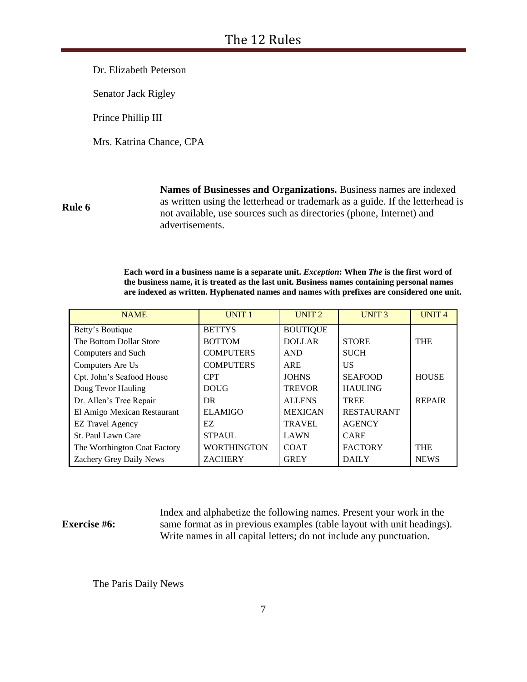Dr. Elizabeth Peterson

Senator Jack Rigley

Prince Phillip III

Mrs. Katrina Chance, CPA

**Rule 6**

**Names of Businesses and Organizations.** Business names are indexed as written using the letterhead or trademark as a guide. If the letterhead is not available, use sources such as directories (phone, Internet) and advertisements.

**Each word in a business name is a separate unit.** *Exception***: When** *The* **is the first word of the business name, it is treated as the last unit. Business names containing personal names are indexed as written. Hyphenated names and names with prefixes are considered one unit.** 

| <b>NAME</b>                  | <b>UNIT1</b>       | UNIT <sub>2</sub> | UNIT <sub>3</sub> | <b>UNIT4</b>  |
|------------------------------|--------------------|-------------------|-------------------|---------------|
| Betty's Boutique             | <b>BETTYS</b>      | <b>BOUTIQUE</b>   |                   |               |
| The Bottom Dollar Store      | <b>BOTTOM</b>      | <b>DOLLAR</b>     | <b>STORE</b>      | <b>THE</b>    |
| Computers and Such           | <b>COMPUTERS</b>   | <b>AND</b>        | <b>SUCH</b>       |               |
| Computers Are Us             | <b>COMPUTERS</b>   | ARE               | US                |               |
| Cpt. John's Seafood House    | <b>CPT</b>         | <b>JOHNS</b>      | <b>SEAFOOD</b>    | <b>HOUSE</b>  |
| Doug Tevor Hauling           | <b>DOUG</b>        | <b>TREVOR</b>     | <b>HAULING</b>    |               |
| Dr. Allen's Tree Repair      | DR                 | <b>ALLENS</b>     | <b>TREE</b>       | <b>REPAIR</b> |
| El Amigo Mexican Restaurant  | <b>ELAMIGO</b>     | <b>MEXICAN</b>    | <b>RESTAURANT</b> |               |
| <b>EZ Travel Agency</b>      | EZ                 | <b>TRAVEL</b>     | <b>AGENCY</b>     |               |
| St. Paul Lawn Care           | <b>STPAUL</b>      | LAWN              | <b>CARE</b>       |               |
| The Worthington Coat Factory | <b>WORTHINGTON</b> | <b>COAT</b>       | <b>FACTORY</b>    | <b>THE</b>    |
| Zachery Grey Daily News      | <b>ZACHERY</b>     | <b>GREY</b>       | <b>DAILY</b>      | <b>NEWS</b>   |

### **Exercise #6:**

Index and alphabetize the following names. Present your work in the same format as in previous examples (table layout with unit headings). Write names in all capital letters; do not include any punctuation.

The Paris Daily News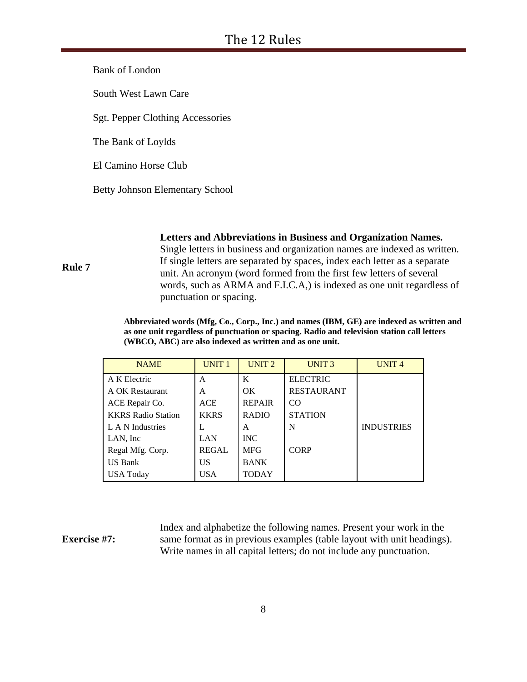Bank of London

South West Lawn Care

Sgt. Pepper Clothing Accessories

The Bank of Loylds

El Camino Horse Club

Betty Johnson Elementary School

**Letters and Abbreviations in Business and Organization Names.**

Single letters in business and organization names are indexed as written. If single letters are separated by spaces, index each letter as a separate unit. An acronym (word formed from the first few letters of several words, such as ARMA and F.I.C.A,) is indexed as one unit regardless of punctuation or spacing.

**Abbreviated words (Mfg, Co., Corp., Inc.) and names (IBM, GE) are indexed as written and as one unit regardless of punctuation or spacing. Radio and television station call letters (WBCO, ABC) are also indexed as written and as one unit.**

| <b>NAME</b>               | <b>UNIT1</b> | UNIT <sub>2</sub> | UNIT <sub>3</sub> | <b>UNIT4</b>      |
|---------------------------|--------------|-------------------|-------------------|-------------------|
| A K Electric              | A            | K                 | <b>ELECTRIC</b>   |                   |
| A OK Restaurant           | A            | OK.               | <b>RESTAURANT</b> |                   |
| ACE Repair Co.            | <b>ACE</b>   | <b>REPAIR</b>     | CO.               |                   |
| <b>KKRS Radio Station</b> | <b>KKRS</b>  | <b>RADIO</b>      | <b>STATION</b>    |                   |
| L A N Industries          | L            | A                 | N                 | <b>INDUSTRIES</b> |
| LAN, Inc.                 | LAN          | <b>INC</b>        |                   |                   |
| Regal Mfg. Corp.          | <b>REGAL</b> | <b>MFG</b>        | <b>CORP</b>       |                   |
| <b>US Bank</b>            | US           | <b>BANK</b>       |                   |                   |
| <b>USA Today</b>          | <b>USA</b>   | TODAY             |                   |                   |

### **Exercise #7:**

**Rule 7**

Index and alphabetize the following names. Present your work in the same format as in previous examples (table layout with unit headings). Write names in all capital letters; do not include any punctuation.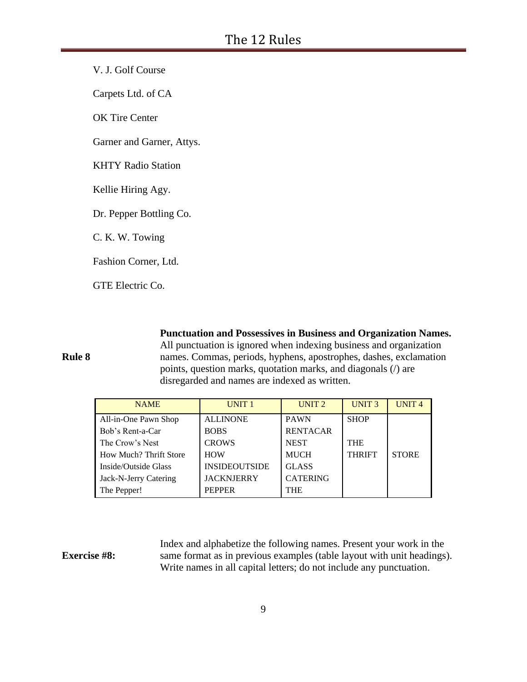V. J. Golf Course

Carpets Ltd. of CA

OK Tire Center

Garner and Garner, Attys.

KHTY Radio Station

Kellie Hiring Agy.

Dr. Pepper Bottling Co.

C. K. W. Towing

Fashion Corner, Ltd.

GTE Electric Co.

**Punctuation and Possessives in Business and Organization Names.**

**Rule 8**

All punctuation is ignored when indexing business and organization names. Commas, periods, hyphens, apostrophes, dashes, exclamation points, question marks, quotation marks, and diagonals (/) are disregarded and names are indexed as written.

| <b>NAME</b>            | UNIT <sub>1</sub>    | UNIT <sub>2</sub> | <b>UNIT3</b>  | UNIT <sub>4</sub> |
|------------------------|----------------------|-------------------|---------------|-------------------|
| All-in-One Pawn Shop   | <b>ALLINONE</b>      | <b>PAWN</b>       | <b>SHOP</b>   |                   |
| Bob's Rent-a-Car       | <b>BOBS</b>          | <b>RENTACAR</b>   |               |                   |
| The Crow's Nest        | <b>CROWS</b>         | <b>NEST</b>       | <b>THE</b>    |                   |
| How Much? Thrift Store | <b>HOW</b>           | <b>MUCH</b>       | <b>THRIFT</b> | <b>STORE</b>      |
| Inside/Outside Glass   | <b>INSIDEOUTSIDE</b> | <b>GLASS</b>      |               |                   |
| Jack-N-Jerry Catering  | <b>JACKNJERRY</b>    | <b>CATERING</b>   |               |                   |
| The Pepper!            | <b>PEPPER</b>        | <b>THE</b>        |               |                   |

#### **Exercise #8:** Index and alphabetize the following names. Present your work in the same format as in previous examples (table layout with unit headings). Write names in all capital letters; do not include any punctuation.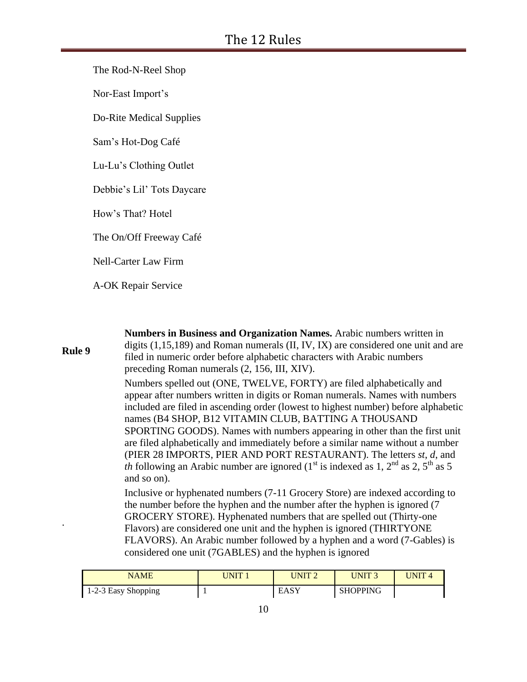The Rod-N-Reel Shop

Nor-East Import's

Do-Rite Medical Supplies

Sam's Hot-Dog Café

Lu-Lu's Clothing Outlet

Debbie's Lil' Tots Daycare

How's That? Hotel

The On/Off Freeway Café

Nell-Carter Law Firm

A-OK Repair Service

| <b>Rule 9</b> | digits $(1,15,189)$ and Roman numerals $(II, IV, IX)$ are considered one unit and are<br>filed in numeric order before alphabetic characters with Arabic numbers<br>preceding Roman numerals (2, 156, III, XIV).                                                                                                                                                                                                                                                                                                                                                                                                                                                                            |
|---------------|---------------------------------------------------------------------------------------------------------------------------------------------------------------------------------------------------------------------------------------------------------------------------------------------------------------------------------------------------------------------------------------------------------------------------------------------------------------------------------------------------------------------------------------------------------------------------------------------------------------------------------------------------------------------------------------------|
|               | Numbers spelled out (ONE, TWELVE, FORTY) are filed alphabetically and<br>appear after numbers written in digits or Roman numerals. Names with numbers<br>included are filed in ascending order (lowest to highest number) before alphabetic<br>names (B4 SHOP, B12 VITAMIN CLUB, BATTING A THOUSAND<br>SPORTING GOODS). Names with numbers appearing in other than the first unit<br>are filed alphabetically and immediately before a similar name without a number<br>(PIER 28 IMPORTS, PIER AND PORT RESTAURANT). The letters st, d, and<br><i>th</i> following an Arabic number are ignored (1 <sup>st</sup> is indexed as 1, 2 <sup>nd</sup> as 2, 5 <sup>th</sup> as 5<br>and so on). |
|               | Inclusive or hyphenated numbers (7-11 Grocery Store) are indexed according to<br>the number before the hyphen and the number after the hyphen is ignored (7)<br>GROCERY STORE). Hyphenated numbers that are spelled out (Thirty-one<br>Flavors) are considered one unit and the hyphen is ignored (THIRTYONE<br>FLAVORS). An Arabic number followed by a hyphen and a word (7-Gables) is<br>considered one unit (7GABLES) and the hyphen is ignored                                                                                                                                                                                                                                         |
|               |                                                                                                                                                                                                                                                                                                                                                                                                                                                                                                                                                                                                                                                                                             |

**Numbers in Business and Organization Names.** Arabic numbers written in

| NAME                        | <b>INIT</b> | JNIT 2 | UNIT 3          | $\blacksquare$ |
|-----------------------------|-------------|--------|-----------------|----------------|
| $\vert$ 1-2-3 Easy Shopping |             | EASY   | <b>SHOPPING</b> |                |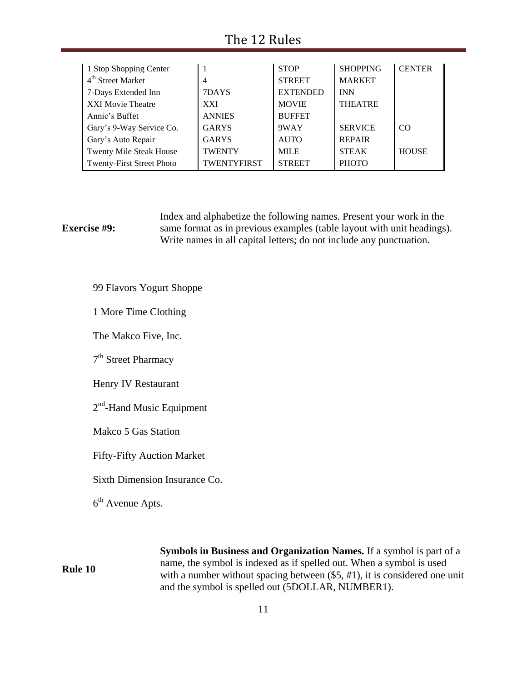# The 12 Rules

| 1 Stop Shopping Center        |                    | <b>STOP</b>     | <b>SHOPPING</b> | <b>CENTER</b> |
|-------------------------------|--------------------|-----------------|-----------------|---------------|
| 4 <sup>th</sup> Street Market | 4                  | <b>STREET</b>   | <b>MARKET</b>   |               |
| 7-Days Extended Inn           | 7DAYS              | <b>EXTENDED</b> | <b>INN</b>      |               |
| XXI Movie Theatre             | <b>XXI</b>         | <b>MOVIE</b>    | <b>THEATRE</b>  |               |
| Annie's Buffet                | <b>ANNIES</b>      | <b>BUFFET</b>   |                 |               |
| Gary's 9-Way Service Co.      | <b>GARYS</b>       | 9WAY            | <b>SERVICE</b>  | CO            |
| Gary's Auto Repair            | <b>GARYS</b>       | <b>AUTO</b>     | <b>REPAIR</b>   |               |
| Twenty Mile Steak House       | <b>TWENTY</b>      | <b>MILE</b>     | <b>STEAK</b>    | <b>HOUSE</b>  |
| Twenty-First Street Photo     | <b>TWENTYFIRST</b> | <b>STREET</b>   | <b>PHOTO</b>    |               |

### **Exercise #9:** Index and alphabetize the following names. Present your work in the same format as in previous examples (table layout with unit headings). Write names in all capital letters; do not include any punctuation.

99 Flavors Yogurt Shoppe

1 More Time Clothing

The Makco Five, Inc.

7<sup>th</sup> Street Pharmacy

Henry IV Restaurant

2<sup>nd</sup>-Hand Music Equipment

Makco 5 Gas Station

Fifty-Fifty Auction Market

Sixth Dimension Insurance Co.

6<sup>th</sup> Avenue Apts.

**Rule 10**

**Symbols in Business and Organization Names.** If a symbol is part of a name, the symbol is indexed as if spelled out. When a symbol is used with a number without spacing between  $(\$5, #1)$ , it is considered one unit and the symbol is spelled out (5DOLLAR, NUMBER1).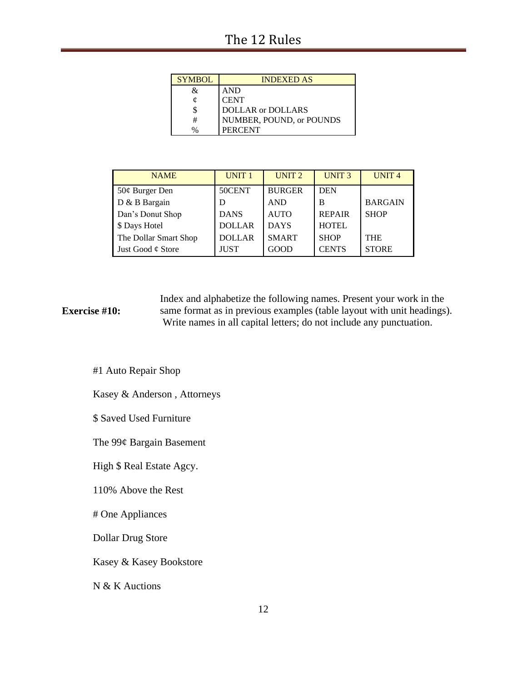| <b>SYMBOL</b> | <b>INDEXED AS</b>        |
|---------------|--------------------------|
| &             | <b>AND</b>               |
| o.            | <b>CENT</b>              |
|               | DOLLAR or DOLLARS        |
| #             | NUMBER, POUND, or POUNDS |
| $\%$          | <b>PERCENT</b>           |

| <b>NAME</b>            | UNIT <sub>1</sub> | UNIT <sub>2</sub> | UNIT <sub>3</sub> | UNIT <sub>4</sub> |
|------------------------|-------------------|-------------------|-------------------|-------------------|
| $50¢$ Burger Den       | 50CENT            | <b>BURGER</b>     | <b>DEN</b>        |                   |
| D & B Bargain          | D                 | <b>AND</b>        | в                 | <b>BARGAIN</b>    |
| Dan's Donut Shop       | <b>DANS</b>       | <b>AUTO</b>       | <b>REPAIR</b>     | <b>SHOP</b>       |
| \$ Days Hotel          | <b>DOLLAR</b>     | <b>DAYS</b>       | <b>HOTEL</b>      |                   |
| The Dollar Smart Shop  | <b>DOLLAR</b>     | <b>SMART</b>      | <b>SHOP</b>       | <b>THE</b>        |
| Just Good $\phi$ Store | <b>JUST</b>       | GOOD              | <b>CENTS</b>      | <b>STORE</b>      |

### **Exercise #10:** Index and alphabetize the following names. Present your work in the same format as in previous examples (table layout with unit headings). Write names in all capital letters; do not include any punctuation.

#1 Auto Repair Shop

Kasey & Anderson , Attorneys

\$ Saved Used Furniture

The 99¢ Bargain Basement

High \$ Real Estate Agcy.

110% Above the Rest

# One Appliances

Dollar Drug Store

Kasey & Kasey Bookstore

N & K Auctions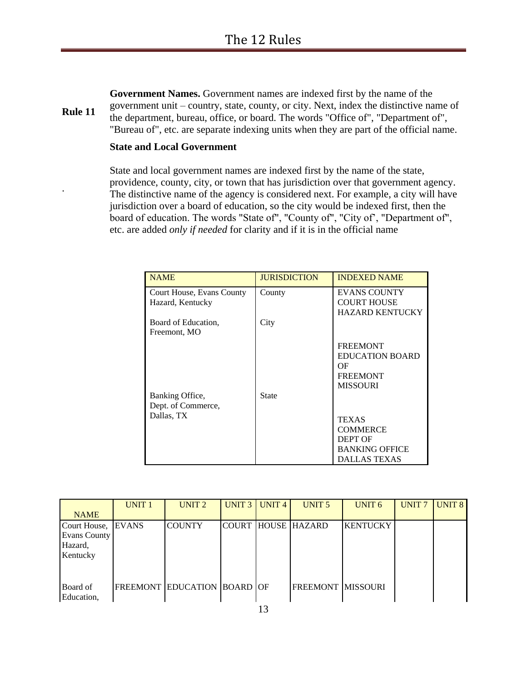**Rule 11 Government Names.** Government names are indexed first by the name of the government unit – country, state, county, or city. Next, index the distinctive name of the department, bureau, office, or board. The words "Office of", "Department of", "Bureau of", etc. are separate indexing units when they are part of the official name.

### **State and Local Government**

.

State and local government names are indexed first by the name of the state, providence, county, city, or town that has jurisdiction over that government agency. The distinctive name of the agency is considered next. For example, a city will have jurisdiction over a board of education, so the city would be indexed first, then the board of education. The words "State of", "County of", "City of', "Department of", etc. are added *only if needed* for clarity and if it is in the official name

| <b>NAME</b>                                         | <b>JURISDICTION</b> | <b>INDEXED NAME</b>                                                                        |
|-----------------------------------------------------|---------------------|--------------------------------------------------------------------------------------------|
| Court House, Evans County<br>Hazard, Kentucky       | County              | <b>EVANS COUNTY</b><br><b>COURT HOUSE</b><br><b>HAZARD KENTUCKY</b>                        |
| Board of Education.<br>Freemont, MO                 | City                |                                                                                            |
|                                                     |                     | <b>FREEMONT</b><br><b>EDUCATION BOARD</b><br>OF<br><b>FREEMONT</b><br><b>MISSOURI</b>      |
| Banking Office,<br>Dept. of Commerce,<br>Dallas, TX | <b>State</b>        | <b>TEXAS</b><br><b>COMMERCE</b><br>DEPT OF<br><b>BANKING OFFICE</b><br><b>DALLAS TEXAS</b> |

|                     | UNIT <sub>1</sub> | UNIT <sub>2</sub>                  | UNIT $3$ | UNIT <sub>4</sub> | UNIT <sub>5</sub>         | UNIT <sub>6</sub> | <b>UNIT7</b> | UNIT <sub>8</sub> |
|---------------------|-------------------|------------------------------------|----------|-------------------|---------------------------|-------------------|--------------|-------------------|
| <b>NAME</b>         |                   |                                    |          |                   |                           |                   |              |                   |
| Court House, EVANS  |                   | <b>COUNTY</b>                      |          |                   | <b>COURT HOUSE HAZARD</b> | <b>KENTUCKY</b>   |              |                   |
| <b>Evans County</b> |                   |                                    |          |                   |                           |                   |              |                   |
| Hazard,             |                   |                                    |          |                   |                           |                   |              |                   |
| Kentucky            |                   |                                    |          |                   |                           |                   |              |                   |
|                     |                   |                                    |          |                   |                           |                   |              |                   |
|                     |                   |                                    |          |                   |                           |                   |              |                   |
| Board of            |                   | <b>FREEMONT EDUCATION BOARD OF</b> |          |                   | <b>FREEMONT IMISSOURI</b> |                   |              |                   |
| Education,          |                   |                                    |          |                   |                           |                   |              |                   |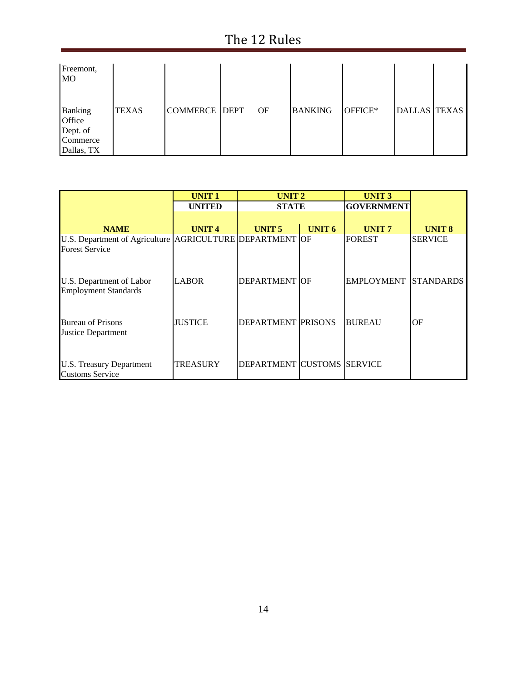# The 12 Rules

| Freemont,<br><b>MO</b>                                         |              |                      |    |                |         |                     |  |
|----------------------------------------------------------------|--------------|----------------------|----|----------------|---------|---------------------|--|
| <b>Banking</b><br>Office<br>Dept. of<br>Commerce<br>Dallas, TX | <b>TEXAS</b> | <b>COMMERCE DEPT</b> | OF | <b>BANKING</b> | OFFICE* | <b>DALLAS TEXAS</b> |  |

|                                                                                   | <b>UNIT1</b>    | UNIT <sub>2</sub>          |               | <b>UNIT3</b>                |                   |
|-----------------------------------------------------------------------------------|-----------------|----------------------------|---------------|-----------------------------|-------------------|
|                                                                                   | <b>UNITED</b>   | <b>STATE</b>               |               | <b>GOVERNMENT</b>           |                   |
|                                                                                   |                 |                            |               |                             |                   |
| <b>NAME</b>                                                                       | <b>UNIT4</b>    | UNIT <sub>5</sub>          | <b>UNIT 6</b> | UNIT <sub>7</sub>           | UNIT <sub>8</sub> |
| U.S. Department of Agriculture AGRICULTURE DEPARTMENT OF<br><b>Forest Service</b> |                 |                            |               | <b>FOREST</b>               | <b>SERVICE</b>    |
| U.S. Department of Labor<br><b>Employment Standards</b>                           | <b>LABOR</b>    | <b>DEPARTMENT OF</b>       |               | <b>EMPLOYMENT STANDARDS</b> |                   |
| <b>Bureau of Prisons</b><br>Justice Department                                    | <b>JUSTICE</b>  | <b>DEPARTMENT PRISONS</b>  |               | <b>BUREAU</b>               | OF                |
| <b>U.S. Treasury Department</b><br><b>Customs Service</b>                         | <b>TREASURY</b> | DEPARTMENT CUSTOMS SERVICE |               |                             |                   |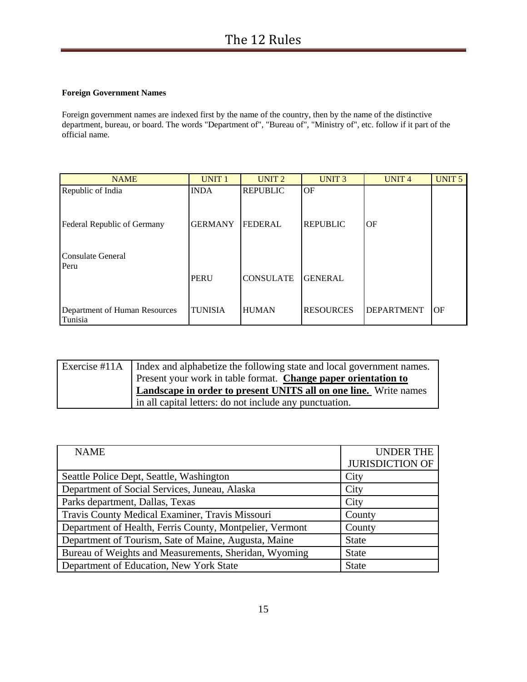### **Foreign Government Names**

Foreign government names are indexed first by the name of the country, then by the name of the distinctive department, bureau, or board. The words "Department of", "Bureau of", "Ministry of", etc. follow if it part of the official name.

| <b>NAME</b>                              | <b>UNIT1</b>   | UNIT <sub>2</sub> | UNIT <sub>3</sub> | UNIT <sub>4</sub> | <b>UNIT 5</b> |
|------------------------------------------|----------------|-------------------|-------------------|-------------------|---------------|
| Republic of India                        | <b>INDA</b>    | <b>REPUBLIC</b>   | OF                |                   |               |
| Federal Republic of Germany              | <b>GERMANY</b> | <b>FEDERAL</b>    | <b>REPUBLIC</b>   | OF                |               |
| Consulate General<br>Peru                |                |                   |                   |                   |               |
|                                          | <b>PERU</b>    | <b>CONSULATE</b>  | <b>GENERAL</b>    |                   |               |
| Department of Human Resources<br>Tunisia | <b>TUNISIA</b> | <b>HUMAN</b>      | <b>RESOURCES</b>  | <b>DEPARTMENT</b> | OF            |

| Exercise #11A   Index and alphabetize the following state and local government names. |
|---------------------------------------------------------------------------------------|
| Present your work in table format. Change paper orientation to                        |
| Landscape in order to present UNITS all on one line. Write names                      |
| in all capital letters: do not include any punctuation.                               |

| <b>NAME</b>                                              | <b>UNDER THE</b>       |
|----------------------------------------------------------|------------------------|
|                                                          | <b>JURISDICTION OF</b> |
| Seattle Police Dept, Seattle, Washington                 | City                   |
| Department of Social Services, Juneau, Alaska            | City                   |
| Parks department, Dallas, Texas                          | City                   |
| Travis County Medical Examiner, Travis Missouri          | County                 |
| Department of Health, Ferris County, Montpelier, Vermont | County                 |
| Department of Tourism, Sate of Maine, Augusta, Maine     | <b>State</b>           |
| Bureau of Weights and Measurements, Sheridan, Wyoming    | <b>State</b>           |
| Department of Education, New York State                  | <b>State</b>           |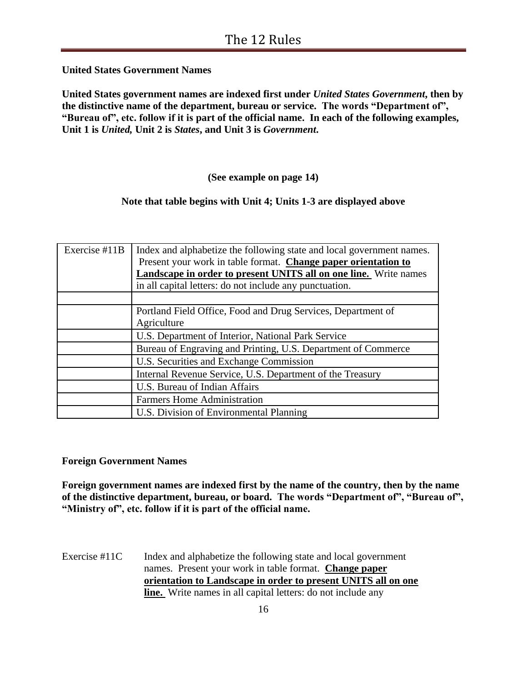**United States Government Names**

**United States government names are indexed first under** *United States Government***, then by the distinctive name of the department, bureau or service. The words "Department of", "Bureau of", etc. follow if it is part of the official name. In each of the following examples, Unit 1 is** *United,* **Unit 2 is** *States***, and Unit 3 is** *Government***.**

**(See example on page 14)**

## **Note that table begins with Unit 4; Units 1-3 are displayed above**

| Exercise $#11B$ | Index and alphabetize the following state and local government names.<br>Present your work in table format. Change paper orientation to<br><b>Landscape in order to present UNITS all on one line.</b> Write names<br>in all capital letters: do not include any punctuation. |
|-----------------|-------------------------------------------------------------------------------------------------------------------------------------------------------------------------------------------------------------------------------------------------------------------------------|
|                 |                                                                                                                                                                                                                                                                               |
|                 | Portland Field Office, Food and Drug Services, Department of                                                                                                                                                                                                                  |
|                 | Agriculture                                                                                                                                                                                                                                                                   |
|                 | U.S. Department of Interior, National Park Service                                                                                                                                                                                                                            |
|                 | Bureau of Engraving and Printing, U.S. Department of Commerce                                                                                                                                                                                                                 |
|                 | U.S. Securities and Exchange Commission                                                                                                                                                                                                                                       |
|                 | Internal Revenue Service, U.S. Department of the Treasury                                                                                                                                                                                                                     |
|                 | U.S. Bureau of Indian Affairs                                                                                                                                                                                                                                                 |
|                 | <b>Farmers Home Administration</b>                                                                                                                                                                                                                                            |
|                 | U.S. Division of Environmental Planning                                                                                                                                                                                                                                       |

### **Foreign Government Names**

**Foreign government names are indexed first by the name of the country, then by the name of the distinctive department, bureau, or board. The words "Department of", "Bureau of", "Ministry of", etc. follow if it is part of the official name.**

Exercise #11C Index and alphabetize the following state and local government names. Present your work in table format. **Change paper orientation to Landscape in order to present UNITS all on one line.** Write names in all capital letters: do not include any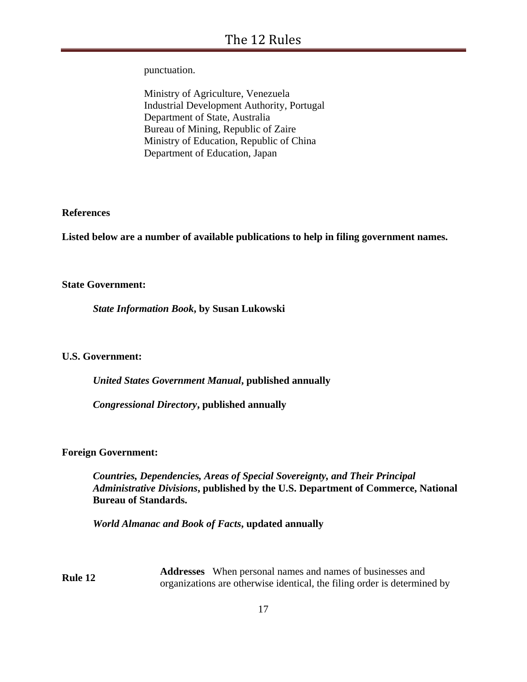punctuation.

Ministry of Agriculture, Venezuela Industrial Development Authority, Portugal Department of State, Australia Bureau of Mining, Republic of Zaire Ministry of Education, Republic of China Department of Education, Japan

**References** 

**Listed below are a number of available publications to help in filing government names.**

### **State Government:**

*State Information Book***, by Susan Lukowski** 

### **U.S. Government:**

*United States Government Manual***, published annually**

*Congressional Directory***, published annually**

### **Foreign Government:**

*Countries, Dependencies, Areas of Special Sovereignty, and Their Principal Administrative Divisions***, published by the U.S. Department of Commerce, National Bureau of Standards.**

*World Almanac and Book of Facts***, updated annually**

**Rule 12 Addresses** When personal names and names of businesses and organizations are otherwise identical, the filing order is determined by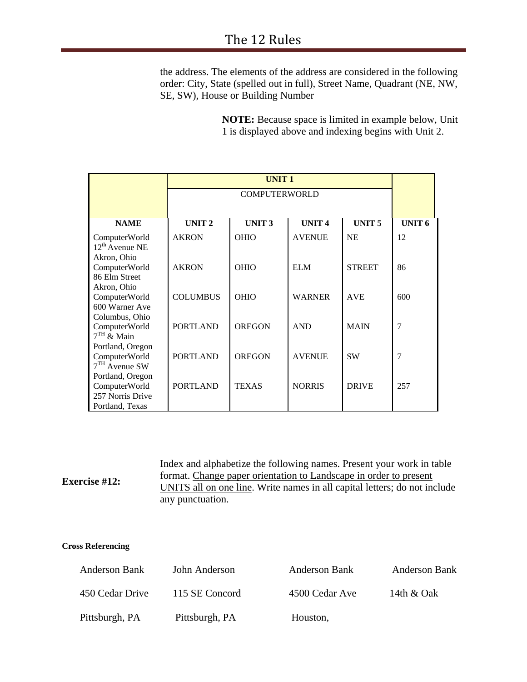the address. The elements of the address are considered in the following order: City, State (spelled out in full), Street Name, Quadrant (NE, NW, SE, SW), House or Building Number

> **NOTE:** Because space is limited in example below, Unit 1 is displayed above and indexing begins with Unit 2.

|                                                                          |                   | <b>UNIT1</b>         |                   |                   |                   |
|--------------------------------------------------------------------------|-------------------|----------------------|-------------------|-------------------|-------------------|
|                                                                          |                   | <b>COMPUTERWORLD</b> |                   |                   |                   |
|                                                                          |                   |                      |                   |                   |                   |
| <b>NAME</b>                                                              | UNIT <sub>2</sub> | UNIT <sub>3</sub>    | UNIT <sub>4</sub> | UNIT <sub>5</sub> | UNIT <sub>6</sub> |
| ComputerWorld<br>$12^{th}$ Avenue NE                                     | <b>AKRON</b>      | <b>OHIO</b>          | <b>AVENUE</b>     | <b>NE</b>         | 12                |
| Akron, Ohio<br>ComputerWorld<br>86 Elm Street                            | <b>AKRON</b>      | <b>OHIO</b>          | <b>ELM</b>        | <b>STREET</b>     | 86                |
| Akron, Ohio<br>ComputerWorld<br>600 Warner Ave                           | <b>COLUMBUS</b>   | <b>OHIO</b>          | <b>WARNER</b>     | <b>AVE</b>        | 600               |
| Columbus, Ohio<br>ComputerWorld<br>$7TH$ & Main                          | <b>PORTLAND</b>   | <b>OREGON</b>        | <b>AND</b>        | <b>MAIN</b>       | 7                 |
| Portland, Oregon<br>ComputerWorld<br>$7TH$ Avenue SW                     | <b>PORTLAND</b>   | <b>OREGON</b>        | <b>AVENUE</b>     | <b>SW</b>         | 7                 |
| Portland, Oregon<br>ComputerWorld<br>257 Norris Drive<br>Portland, Texas | <b>PORTLAND</b>   | <b>TEXAS</b>         | <b>NORRIS</b>     | <b>DRIVE</b>      | 257               |

| <b>Exercise #12:</b> | Index and alphabetize the following names. Present your work in table     |
|----------------------|---------------------------------------------------------------------------|
|                      | format. Change paper orientation to Landscape in order to present         |
|                      | UNITS all on one line. Write names in all capital letters; do not include |
|                      | any punctuation.                                                          |

### **Cross Referencing**

| <b>Anderson Bank</b> | John Anderson  | Anderson Bank  | <b>Anderson Bank</b> |
|----------------------|----------------|----------------|----------------------|
| 450 Cedar Drive      | 115 SE Concord | 4500 Cedar Ave | 14th & Oak           |
| Pittsburgh, PA       | Pittsburgh, PA | Houston,       |                      |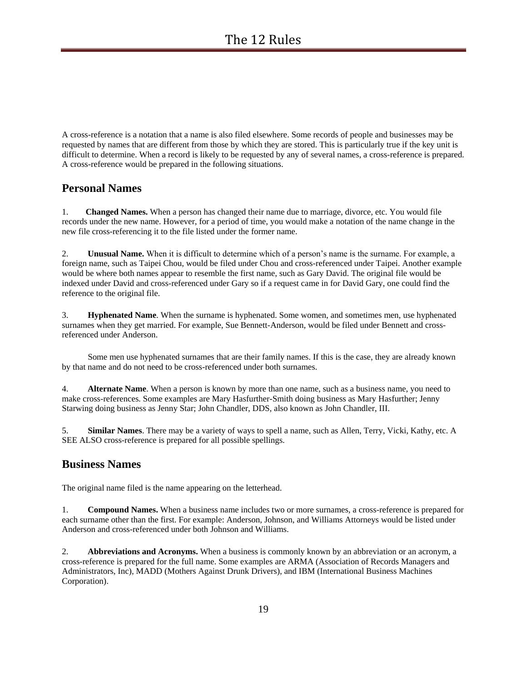A cross-reference is a notation that a name is also filed elsewhere. Some records of people and businesses may be requested by names that are different from those by which they are stored. This is particularly true if the key unit is difficult to determine. When a record is likely to be requested by any of several names, a cross-reference is prepared. A cross-reference would be prepared in the following situations.

## **Personal Names**

1. **Changed Names.** When a person has changed their name due to marriage, divorce, etc. You would file records under the new name. However, for a period of time, you would make a notation of the name change in the new file cross-referencing it to the file listed under the former name.

2. **Unusual Name.** When it is difficult to determine which of a person's name is the surname. For example, a foreign name, such as Taipei Chou, would be filed under Chou and cross-referenced under Taipei. Another example would be where both names appear to resemble the first name, such as Gary David. The original file would be indexed under David and cross-referenced under Gary so if a request came in for David Gary, one could find the reference to the original file.

3. **Hyphenated Name**. When the surname is hyphenated. Some women, and sometimes men, use hyphenated surnames when they get married. For example, Sue Bennett-Anderson, would be filed under Bennett and crossreferenced under Anderson.

 Some men use hyphenated surnames that are their family names. If this is the case, they are already known by that name and do not need to be cross-referenced under both surnames.

4. **Alternate Name**. When a person is known by more than one name, such as a business name, you need to make cross-references. Some examples are Mary Hasfurther-Smith doing business as Mary Hasfurther; Jenny Starwing doing business as Jenny Star; John Chandler, DDS, also known as John Chandler, III.

5. **Similar Names**. There may be a variety of ways to spell a name, such as Allen, Terry, Vicki, Kathy, etc. A SEE ALSO cross-reference is prepared for all possible spellings.

### **Business Names**

The original name filed is the name appearing on the letterhead.

1. **Compound Names.** When a business name includes two or more surnames, a cross-reference is prepared for each surname other than the first. For example: Anderson, Johnson, and Williams Attorneys would be listed under Anderson and cross-referenced under both Johnson and Williams.

2. **Abbreviations and Acronyms.** When a business is commonly known by an abbreviation or an acronym, a cross-reference is prepared for the full name. Some examples are ARMA (Association of Records Managers and Administrators, Inc), MADD (Mothers Against Drunk Drivers), and IBM (International Business Machines Corporation).